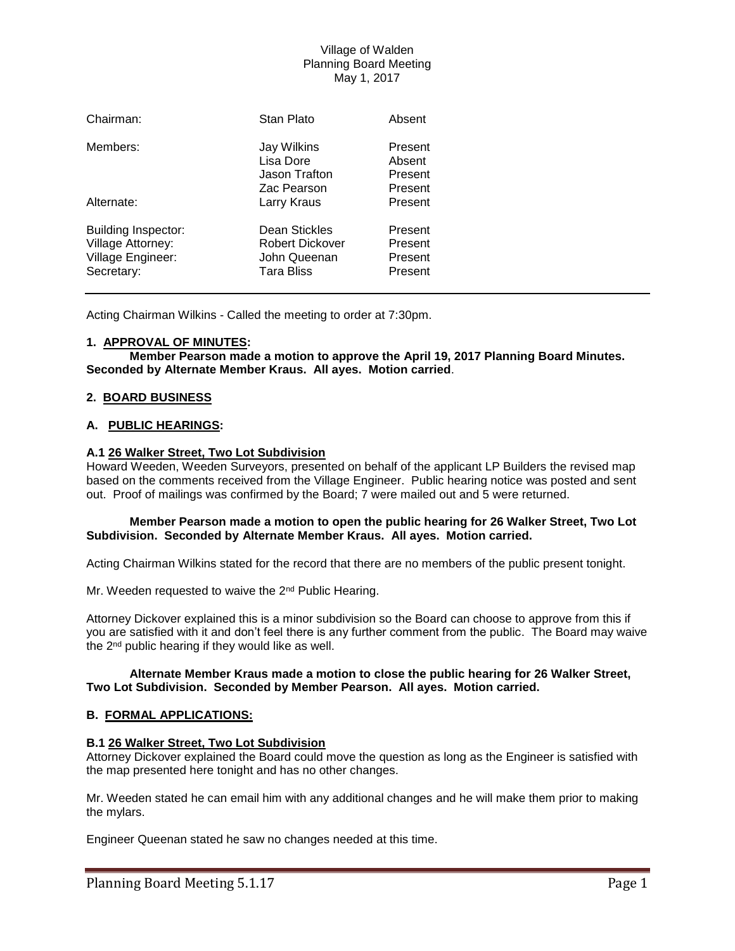# Village of Walden Planning Board Meeting May 1, 2017

| Chairman:                                                                          | Stan Plato                                                                   | Absent                                   |
|------------------------------------------------------------------------------------|------------------------------------------------------------------------------|------------------------------------------|
| Members:                                                                           | Jay Wilkins<br>Lisa Dore<br>Jason Trafton                                    | Present<br>Absent<br>Present             |
| Alternate:                                                                         | Zac Pearson<br>Larry Kraus                                                   | Present<br>Present                       |
| <b>Building Inspector:</b><br>Village Attorney:<br>Village Engineer:<br>Secretary: | Dean Stickles<br><b>Robert Dickover</b><br>John Queenan<br><b>Tara Bliss</b> | Present<br>Present<br>Present<br>Present |

Acting Chairman Wilkins - Called the meeting to order at 7:30pm.

## **1. APPROVAL OF MINUTES:**

**Member Pearson made a motion to approve the April 19, 2017 Planning Board Minutes. Seconded by Alternate Member Kraus. All ayes. Motion carried**.

### **2. BOARD BUSINESS**

### **A. PUBLIC HEARINGS:**

## **A.1 26 Walker Street, Two Lot Subdivision**

Howard Weeden, Weeden Surveyors, presented on behalf of the applicant LP Builders the revised map based on the comments received from the Village Engineer. Public hearing notice was posted and sent out. Proof of mailings was confirmed by the Board; 7 were mailed out and 5 were returned.

### **Member Pearson made a motion to open the public hearing for 26 Walker Street, Two Lot Subdivision. Seconded by Alternate Member Kraus. All ayes. Motion carried.**

Acting Chairman Wilkins stated for the record that there are no members of the public present tonight.

Mr. Weeden requested to waive the 2<sup>nd</sup> Public Hearing.

Attorney Dickover explained this is a minor subdivision so the Board can choose to approve from this if you are satisfied with it and don't feel there is any further comment from the public. The Board may waive the 2<sup>nd</sup> public hearing if they would like as well.

#### **Alternate Member Kraus made a motion to close the public hearing for 26 Walker Street, Two Lot Subdivision. Seconded by Member Pearson. All ayes. Motion carried.**

#### **B. FORMAL APPLICATIONS:**

#### **B.1 26 Walker Street, Two Lot Subdivision**

Attorney Dickover explained the Board could move the question as long as the Engineer is satisfied with the map presented here tonight and has no other changes.

Mr. Weeden stated he can email him with any additional changes and he will make them prior to making the mylars.

Engineer Queenan stated he saw no changes needed at this time.